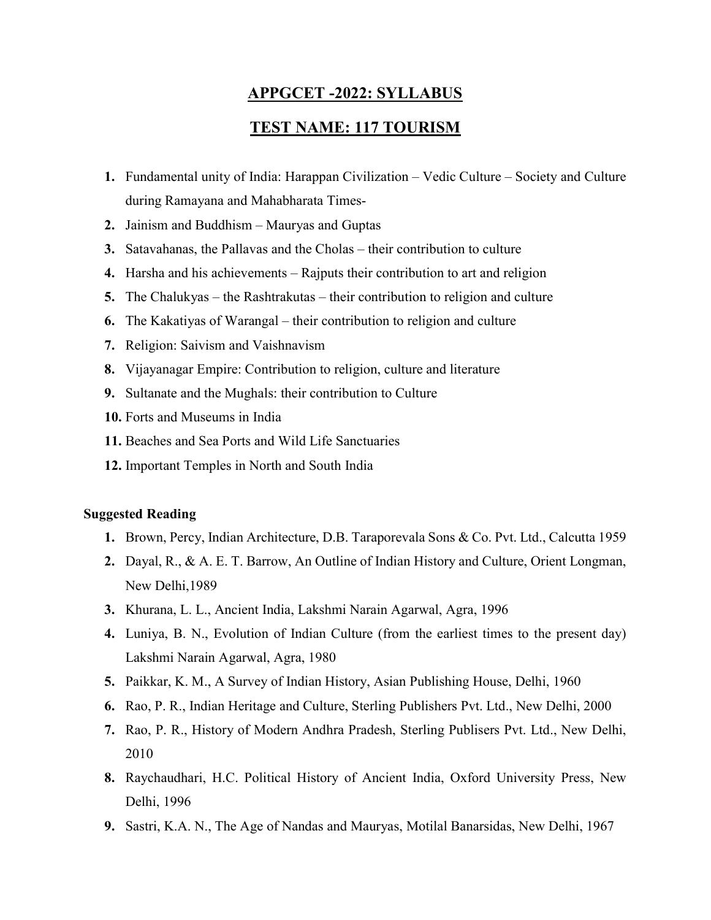## APPGCET -2022: SYLLABUS

## TEST NAME: 117 TOURISM

- 1. Fundamental unity of India: Harappan Civilization Vedic Culture Society and Culture during Ramayana and Mahabharata Times-
- 2. Jainism and Buddhism Mauryas and Guptas
- 3. Satavahanas, the Pallavas and the Cholas their contribution to culture
- 4. Harsha and his achievements Rajputs their contribution to art and religion
- 5. The Chalukyas the Rashtrakutas their contribution to religion and culture
- 6. The Kakatiyas of Warangal their contribution to religion and culture
- 7. Religion: Saivism and Vaishnavism
- 8. Vijayanagar Empire: Contribution to religion, culture and literature
- 9. Sultanate and the Mughals: their contribution to Culture
- 10. Forts and Museums in India
- 11. Beaches and Sea Ports and Wild Life Sanctuaries
- 12. Important Temples in North and South India

## Suggested Reading

- 1. Brown, Percy, Indian Architecture, D.B. Taraporevala Sons & Co. Pvt. Ltd., Calcutta 1959
- 2. Dayal, R., & A. E. T. Barrow, An Outline of Indian History and Culture, Orient Longman, New Delhi,1989
- 3. Khurana, L. L., Ancient India, Lakshmi Narain Agarwal, Agra, 1996
- 4. Luniya, B. N., Evolution of Indian Culture (from the earliest times to the present day) Lakshmi Narain Agarwal, Agra, 1980
- 5. Paikkar, K. M., A Survey of Indian History, Asian Publishing House, Delhi, 1960
- 6. Rao, P. R., Indian Heritage and Culture, Sterling Publishers Pvt. Ltd., New Delhi, 2000
- 7. Rao, P. R., History of Modern Andhra Pradesh, Sterling Publisers Pvt. Ltd., New Delhi, 2010
- 8. Raychaudhari, H.C. Political History of Ancient India, Oxford University Press, New Delhi, 1996
- 9. Sastri, K.A. N., The Age of Nandas and Mauryas, Motilal Banarsidas, New Delhi, 1967